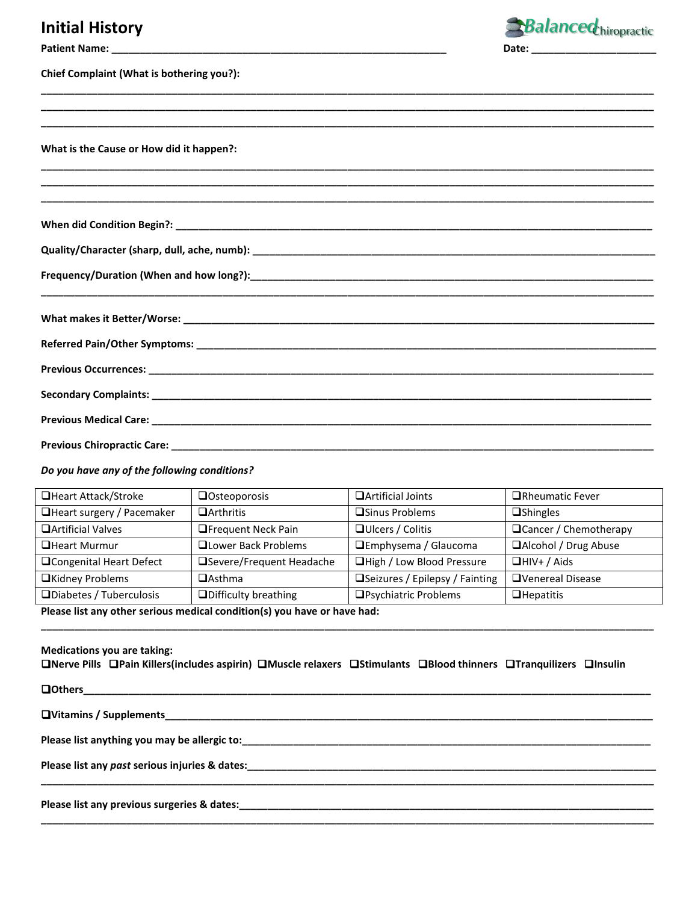## **Initial History**



| Chief Complaint (What is bothering you?): |  |  |  |
|-------------------------------------------|--|--|--|
|-------------------------------------------|--|--|--|

**What is the Cause or How did it happen?:** 

**When did Condition Begin?: \_\_\_\_\_\_\_\_\_\_\_\_\_\_\_\_\_\_\_\_\_\_\_\_\_\_\_\_\_\_\_\_\_\_\_\_\_\_\_\_\_\_\_\_\_\_\_\_\_\_\_\_\_\_\_\_\_\_\_\_\_\_\_\_\_\_\_\_\_\_\_\_\_\_\_\_\_\_\_\_\_\_\_\_** 

**Quality/Character (sharp, dull, ache, numb): \_\_\_\_\_\_\_\_\_\_\_\_\_\_\_\_\_\_\_\_\_\_\_\_\_\_\_\_\_\_\_\_\_\_\_\_\_\_\_\_\_\_\_\_\_\_\_\_\_\_\_\_\_\_\_\_\_\_\_\_\_\_\_\_\_\_\_\_\_\_\_**

**Frequency/Duration (When and how long?):\_\_\_\_\_\_\_\_\_\_\_\_\_\_\_\_\_\_\_\_\_\_\_\_\_\_\_\_\_\_\_\_\_\_\_\_\_\_\_\_\_\_\_\_\_\_\_\_\_\_\_\_\_\_\_\_\_\_\_\_\_\_\_\_\_\_\_\_\_\_\_**

| Previous Chiropractic Care:<br><u> 1999 - Johann John Harry Harry Harry Harry Harry Harry Harry Harry Harry Harry Harry Harry Harry Harry Harry</u> |  |  |
|-----------------------------------------------------------------------------------------------------------------------------------------------------|--|--|

**\_\_\_\_\_\_\_\_\_\_\_\_\_\_\_\_\_\_\_\_\_\_\_\_\_\_\_\_\_\_\_\_\_\_\_\_\_\_\_\_\_\_\_\_\_\_\_\_\_\_\_\_\_\_\_\_\_\_\_\_\_\_\_\_\_\_\_\_\_\_\_\_\_\_\_\_\_\_\_\_\_\_\_\_\_\_\_\_\_\_\_\_\_\_\_\_\_\_\_\_\_\_\_\_\_\_\_\_**

**\_\_\_\_\_\_\_\_\_\_\_\_\_\_\_\_\_\_\_\_\_\_\_\_\_\_\_\_\_\_\_\_\_\_\_\_\_\_\_\_\_\_\_\_\_\_\_\_\_\_\_\_\_\_\_\_\_\_\_\_\_\_\_\_\_\_\_\_\_\_\_\_\_\_\_\_\_\_\_\_\_\_\_\_\_\_\_\_\_\_\_\_\_\_\_\_\_\_\_\_\_\_\_\_\_\_\_\_ \_\_\_\_\_\_\_\_\_\_\_\_\_\_\_\_\_\_\_\_\_\_\_\_\_\_\_\_\_\_\_\_\_\_\_\_\_\_\_\_\_\_\_\_\_\_\_\_\_\_\_\_\_\_\_\_\_\_\_\_\_\_\_\_\_\_\_\_\_\_\_\_\_\_\_\_\_\_\_\_\_\_\_\_\_\_\_\_\_\_\_\_\_\_\_\_\_\_\_\_\_\_\_\_\_\_\_\_ \_\_\_\_\_\_\_\_\_\_\_\_\_\_\_\_\_\_\_\_\_\_\_\_\_\_\_\_\_\_\_\_\_\_\_\_\_\_\_\_\_\_\_\_\_\_\_\_\_\_\_\_\_\_\_\_\_\_\_\_\_\_\_\_\_\_\_\_\_\_\_\_\_\_\_\_\_\_\_\_\_\_\_\_\_\_\_\_\_\_\_\_\_\_\_\_\_\_\_\_\_\_\_\_\_\_\_\_** 

**\_\_\_\_\_\_\_\_\_\_\_\_\_\_\_\_\_\_\_\_\_\_\_\_\_\_\_\_\_\_\_\_\_\_\_\_\_\_\_\_\_\_\_\_\_\_\_\_\_\_\_\_\_\_\_\_\_\_\_\_\_\_\_\_\_\_\_\_\_\_\_\_\_\_\_\_\_\_\_\_\_\_\_\_\_\_\_\_\_\_\_\_\_\_\_\_\_\_\_\_\_\_\_\_\_\_\_\_ \_\_\_\_\_\_\_\_\_\_\_\_\_\_\_\_\_\_\_\_\_\_\_\_\_\_\_\_\_\_\_\_\_\_\_\_\_\_\_\_\_\_\_\_\_\_\_\_\_\_\_\_\_\_\_\_\_\_\_\_\_\_\_\_\_\_\_\_\_\_\_\_\_\_\_\_\_\_\_\_\_\_\_\_\_\_\_\_\_\_\_\_\_\_\_\_\_\_\_\_\_\_\_\_\_\_\_\_ \_\_\_\_\_\_\_\_\_\_\_\_\_\_\_\_\_\_\_\_\_\_\_\_\_\_\_\_\_\_\_\_\_\_\_\_\_\_\_\_\_\_\_\_\_\_\_\_\_\_\_\_\_\_\_\_\_\_\_\_\_\_\_\_\_\_\_\_\_\_\_\_\_\_\_\_\_\_\_\_\_\_\_\_\_\_\_\_\_\_\_\_\_\_\_\_\_\_\_\_\_\_\_\_\_\_\_\_**

*Do you have any of the following conditions?*

| □Heart Attack/Stroke       | <b>Osteoporosis</b>         | <b>OArtificial Joints</b>       | □Rheumatic Fever        |
|----------------------------|-----------------------------|---------------------------------|-------------------------|
| □Heart surgery / Pacemaker | $\Box$ Arthritis            | <b>□Sinus Problems</b>          | $\Box$ Shingles         |
| □ Artificial Valves        | <b>OFrequent Neck Pain</b>  | □ Ulcers / Colitis              | □ Cancer / Chemotherapy |
| <b>QHeart Murmur</b>       | <b>QLower Back Problems</b> | □Emphysema / Glaucoma           | □Alcohol / Drug Abuse   |
| □Congenital Heart Defect   | □Severe/Frequent Headache   | □High / Low Blood Pressure      | $\Box$ HIV+ / Aids      |
| □Kidney Problems           | $\Box$ Asthma               | □Seizures / Epilepsy / Fainting | OVenereal Disease       |
| □Diabetes / Tuberculosis   | □Difficulty breathing       | □Psychiatric Problems           | $\Box$ Hepatitis        |

**\_\_\_\_\_\_\_\_\_\_\_\_\_\_\_\_\_\_\_\_\_\_\_\_\_\_\_\_\_\_\_\_\_\_\_\_\_\_\_\_\_\_\_\_\_\_\_\_\_\_\_\_\_\_\_\_\_\_\_\_\_\_\_\_\_\_\_\_\_\_\_\_\_\_\_\_\_\_\_\_\_\_\_\_\_\_\_\_\_\_\_\_\_\_\_\_\_\_\_\_\_\_\_\_\_\_\_\_**

**Please list any other serious medical condition(s) you have or have had:** 

| <b>Medications you are taking:</b><br>□Nerve Pills □Pain Killers(includes aspirin) □Muscle relaxers □Stimulants □Blood thinners □Tranquilizers □Insulin                                                                              |
|--------------------------------------------------------------------------------------------------------------------------------------------------------------------------------------------------------------------------------------|
|                                                                                                                                                                                                                                      |
|                                                                                                                                                                                                                                      |
| Please list anything you may be allergic to: <b>Allergian and the set of the set of the set of the set of the set of the set of the set of the set of the set of the set of the set of the set of the set of the set of the set </b> |
|                                                                                                                                                                                                                                      |
|                                                                                                                                                                                                                                      |
| Please list any previous surgeries & dates:                                                                                                                                                                                          |

**\_\_\_\_\_\_\_\_\_\_\_\_\_\_\_\_\_\_\_\_\_\_\_\_\_\_\_\_\_\_\_\_\_\_\_\_\_\_\_\_\_\_\_\_\_\_\_\_\_\_\_\_\_\_\_\_\_\_\_\_\_\_\_\_\_\_\_\_\_\_\_\_\_\_\_\_\_\_\_\_\_\_\_\_\_\_\_\_\_\_\_\_\_\_\_\_\_\_\_\_\_\_\_\_\_\_\_\_**